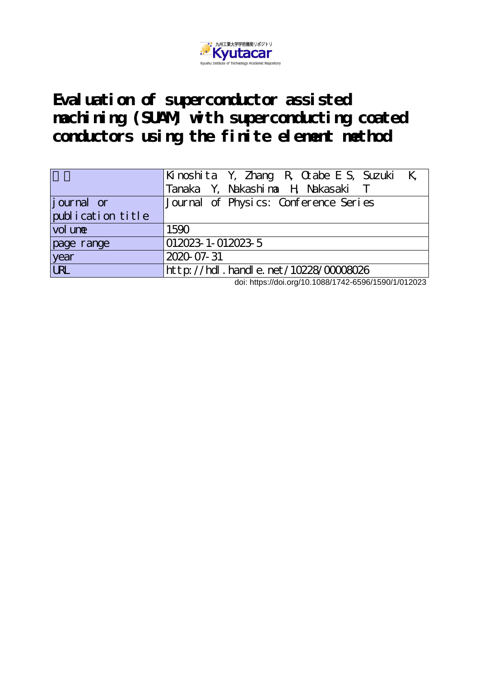

**Evaluation of superconductor assisted machining (SUAM) with superconducting coated conductors using the finite element method**

|                   | Kinoshita Y, Zhang R, Otabe E S, Suzuki K,<br>Tanaka Y, Nakashina H, Nakasaki T |
|-------------------|---------------------------------------------------------------------------------|
| journal or        | Journal of Physics: Conference Series                                           |
| publication title |                                                                                 |
| vol une           | 1590                                                                            |
| page range        | 012023-1-012023-5                                                               |
| year              | 2020-07-31                                                                      |
| URL               | $ht$ p: $//$ hdl. handle. net $/10228/00008026$                                 |

doi: https://doi.org/10.1088/1742-6596/1590/1/012023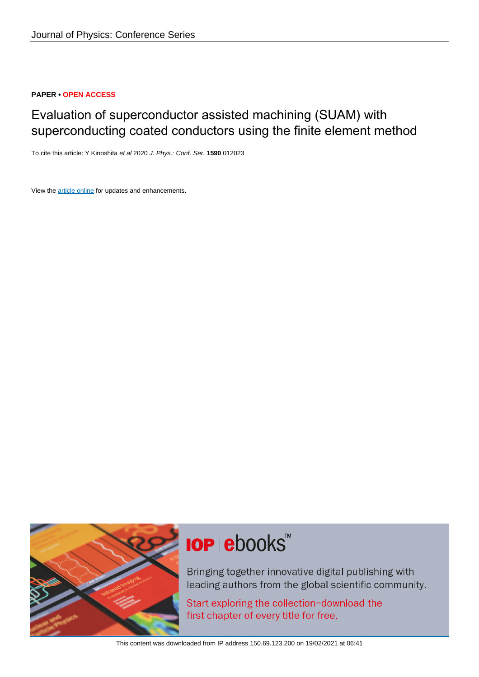### **PAPER • OPEN ACCESS**

## Evaluation of superconductor assisted machining (SUAM) with superconducting coated conductors using the finite element method

To cite this article: Y Kinoshita et al 2020 J. Phys.: Conf. Ser. **1590** 012023

View the [article online](https://doi.org/10.1088/1742-6596/1590/1/012023) for updates and enhancements.



# **IOP ebooks**™

Bringing together innovative digital publishing with leading authors from the global scientific community.

Start exploring the collection-download the first chapter of every title for free.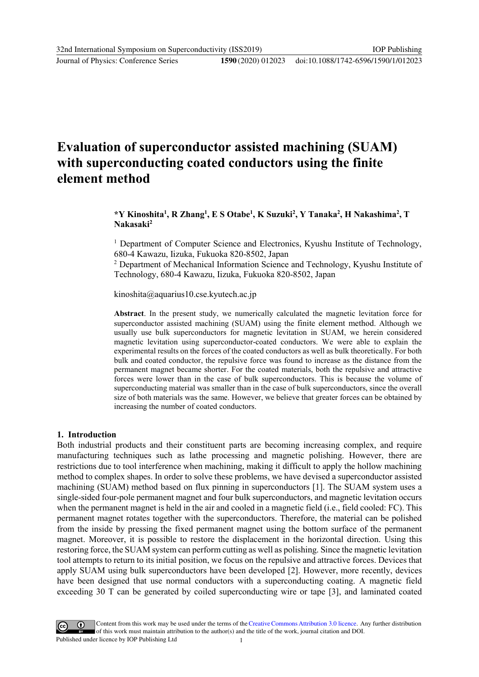Journal of Physics: Conference Series **1590** (2020) 012023

## **Evaluation of superconductor assisted machining (SUAM) with superconducting coated conductors using the finite element method**

**\*Y Kinoshita<sup>1</sup> , R Zhang<sup>1</sup> , E S Otabe<sup>1</sup> , K Suzuki<sup>2</sup> , Y Tanaka<sup>2</sup> , H Nakashima<sup>2</sup> , T Nakasaki<sup>2</sup>**

<sup>1</sup> Department of Computer Science and Electronics, Kyushu Institute of Technology, 680-4 Kawazu, Iizuka, Fukuoka 820-8502, Japan

<sup>2</sup> Department of Mechanical Information Science and Technology, Kyushu Institute of Technology, 680-4 Kawazu, Iizuka, Fukuoka 820-8502, Japan

kinoshita@aquarius10.cse.kyutech.ac.jp

**Abstract**. In the present study, we numerically calculated the magnetic levitation force for superconductor assisted machining (SUAM) using the finite element method. Although we usually use bulk superconductors for magnetic levitation in SUAM, we herein considered magnetic levitation using superconductor-coated conductors. We were able to explain the experimental results on the forces of the coated conductors as well as bulk theoretically. For both bulk and coated conductor, the repulsive force was found to increase as the distance from the permanent magnet became shorter. For the coated materials, both the repulsive and attractive forces were lower than in the case of bulk superconductors. This is because the volume of superconducting material was smaller than in the case of bulk superconductors, since the overall size of both materials was the same. However, we believe that greater forces can be obtained by increasing the number of coated conductors.

#### **1. Introduction**

Both industrial products and their constituent parts are becoming increasing complex, and require manufacturing techniques such as lathe processing and magnetic polishing. However, there are restrictions due to tool interference when machining, making it difficult to apply the hollow machining method to complex shapes. In order to solve these problems, we have devised a superconductor assisted machining (SUAM) method based on flux pinning in superconductors [1]. The SUAM system uses a single-sided four-pole permanent magnet and four bulk superconductors, and magnetic levitation occurs when the permanent magnet is held in the air and cooled in a magnetic field (i.e., field cooled: FC). This permanent magnet rotates together with the superconductors. Therefore, the material can be polished from the inside by pressing the fixed permanent magnet using the bottom surface of the permanent magnet. Moreover, it is possible to restore the displacement in the horizontal direction. Using this restoring force, the SUAM system can perform cutting as well as polishing. Since the magnetic levitation tool attempts to return to its initial position, we focus on the repulsive and attractive forces. Devices that apply SUAM using bulk superconductors have been developed [2]. However, more recently, devices have been designed that use normal conductors with a superconducting coating. A magnetic field exceeding 30 T can be generated by coiled superconducting wire or tape [3], and laminated coated

Content from this work may be used under the terms of theCreative Commons Attribution 3.0 licence. Any further distribution of this work must maintain attribution to the author(s) and the title of the work, journal citation and DOI. Published under licence by IOP Publishing Ltd 1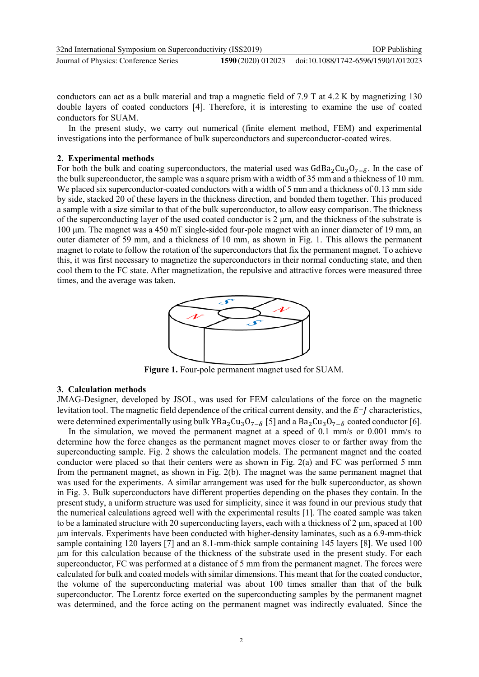| 32nd International Symposium on Superconductivity (ISS2019) | <b>IOP</b> Publishing |                                     |
|-------------------------------------------------------------|-----------------------|-------------------------------------|
| Journal of Physics: Conference Series                       | 1590 (2020) 012023    | doi:10.1088/1742-6596/1590/1/012023 |

conductors can act as a bulk material and trap a magnetic field of 7.9 T at 4.2 K by magnetizing 130 double layers of coated conductors [4]. Therefore, it is interesting to examine the use of coated conductors for SUAM.

In the present study, we carry out numerical (finite element method, FEM) and experimental investigations into the performance of bulk superconductors and superconductor-coated wires.

#### **2. Experimental methods**

For both the bulk and coating superconductors, the material used was  $GdBa_2Cu_3O_{7-\delta}$ . In the case of the bulk superconductor, the sample was a square prism with a width of 35 mm and a thickness of 10 mm. We placed six superconductor-coated conductors with a width of 5 mm and a thickness of 0.13 mm side by side, stacked 20 of these layers in the thickness direction, and bonded them together. This produced a sample with a size similar to that of the bulk superconductor, to allow easy comparison. The thickness of the superconducting layer of the used coated conductor is 2 μm, and the thickness of the substrate is 100 μm. The magnet was a 450 mT single-sided four-pole magnet with an inner diameter of 19 mm, an outer diameter of 59 mm, and a thickness of 10 mm, as shown in Fig. 1. This allows the permanent magnet to rotate to follow the rotation of the superconductors that fix the permanent magnet. To achieve this, it was first necessary to magnetize the superconductors in their normal conducting state, and then cool them to the FC state. After magnetization, the repulsive and attractive forces were measured three times, and the average was taken.



**Figure 1.** Four-pole permanent magnet used for SUAM.

#### **3. Calculation methods**

JMAG-Designer, developed by JSOL, was used for FEM calculations of the force on the magnetic levitation tool. The magnetic field dependence of the critical current density, and the  $E-J$  characteristics, were determined experimentally using bulk YBa<sub>2</sub>Cu<sub>3</sub>O<sub>7−δ</sub> [5] and a Ba<sub>2</sub>Cu<sub>3</sub>O<sub>7−δ</sub> coated conductor [6].

In the simulation, we moved the permanent magnet at a speed of 0.1 mm/s or 0.001 mm/s to determine how the force changes as the permanent magnet moves closer to or farther away from the superconducting sample. Fig. 2 shows the calculation models. The permanent magnet and the coated conductor were placed so that their centers were as shown in Fig. 2(a) and FC was performed 5 mm from the permanent magnet, as shown in Fig. 2(b). The magnet was the same permanent magnet that was used for the experiments. A similar arrangement was used for the bulk superconductor, as shown in Fig. 3. Bulk superconductors have different properties depending on the phases they contain. In the present study, a uniform structure was used for simplicity, since it was found in our previous study that the numerical calculations agreed well with the experimental results [1]. The coated sample was taken to be a laminated structure with 20 superconducting layers, each with a thickness of  $2 \mu m$ , spaced at 100 μm intervals. Experiments have been conducted with higher-density laminates, such as a 6.9-mm-thick sample containing 120 layers [7] and an 8.1-mm-thick sample containing 145 layers [8]. We used 100 μm for this calculation because of the thickness of the substrate used in the present study. For each superconductor, FC was performed at a distance of 5 mm from the permanent magnet. The forces were calculated for bulk and coated models with similar dimensions. This meant that for the coated conductor, the volume of the superconducting material was about 100 times smaller than that of the bulk superconductor. The Lorentz force exerted on the superconducting samples by the permanent magnet was determined, and the force acting on the permanent magnet was indirectly evaluated. Since the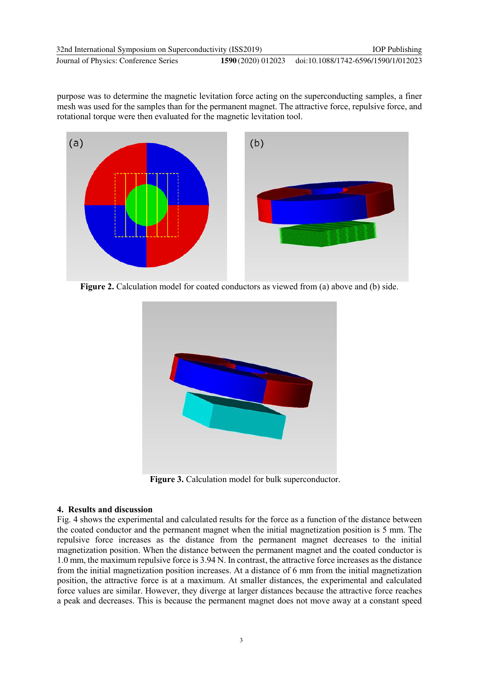purpose was to determine the magnetic levitation force acting on the superconducting samples, a finer mesh was used for the samples than for the permanent magnet. The attractive force, repulsive force, and rotational torque were then evaluated for the magnetic levitation tool.



**Figure 2.** Calculation model for coated conductors as viewed from (a) above and (b) side.



**Figure 3.** Calculation model for bulk superconductor.

#### **4. Results and discussion**

Fig. 4 shows the experimental and calculated results for the force as a function of the distance between the coated conductor and the permanent magnet when the initial magnetization position is 5 mm. The repulsive force increases as the distance from the permanent magnet decreases to the initial magnetization position. When the distance between the permanent magnet and the coated conductor is 1.0 mm, the maximum repulsive force is 3.94 N. In contrast, the attractive force increases as the distance from the initial magnetization position increases. At a distance of 6 mm from the initial magnetization position, the attractive force is at a maximum. At smaller distances, the experimental and calculated force values are similar. However, they diverge at larger distances because the attractive force reaches a peak and decreases. This is because the permanent magnet does not move away at a constant speed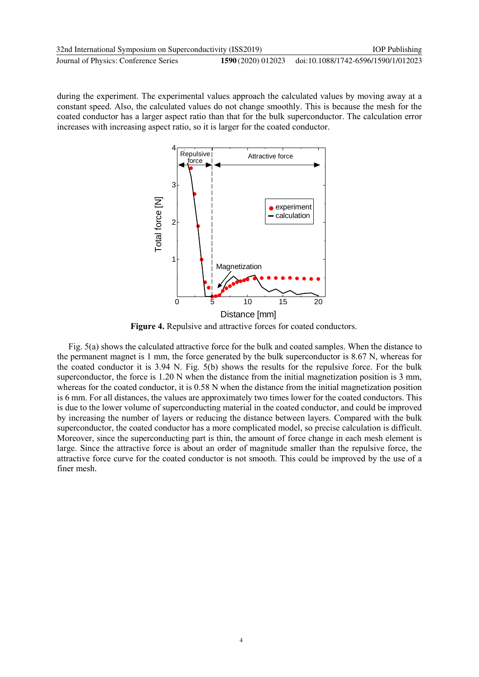| 32nd International Symposium on Superconductivity (ISS2019) | <b>IOP</b> Publishing |                                     |
|-------------------------------------------------------------|-----------------------|-------------------------------------|
| Journal of Physics: Conference Series                       | 1590 (2020) 012023    | doi:10.1088/1742-6596/1590/1/012023 |

during the experiment. The experimental values approach the calculated values by moving away at a constant speed. Also, the calculated values do not change smoothly. This is because the mesh for the coated conductor has a larger aspect ratio than that for the bulk superconductor. The calculation error increases with increasing aspect ratio, so it is larger for the coated conductor.



**Figure 4.** Repulsive and attractive forces for coated conductors.

Fig. 5(a) shows the calculated attractive force for the bulk and coated samples. When the distance to the permanent magnet is 1 mm, the force generated by the bulk superconductor is 8.67 N, whereas for the coated conductor it is 3.94 N. Fig. 5(b) shows the results for the repulsive force. For the bulk superconductor, the force is 1.20 N when the distance from the initial magnetization position is 3 mm, whereas for the coated conductor, it is 0.58 N when the distance from the initial magnetization position is 6 mm. For all distances, the values are approximately two times lower for the coated conductors. This is due to the lower volume of superconducting material in the coated conductor, and could be improved by increasing the number of layers or reducing the distance between layers. Compared with the bulk superconductor, the coated conductor has a more complicated model, so precise calculation is difficult. Moreover, since the superconducting part is thin, the amount of force change in each mesh element is large. Since the attractive force is about an order of magnitude smaller than the repulsive force, the attractive force curve for the coated conductor is not smooth. This could be improved by the use of a finer mesh.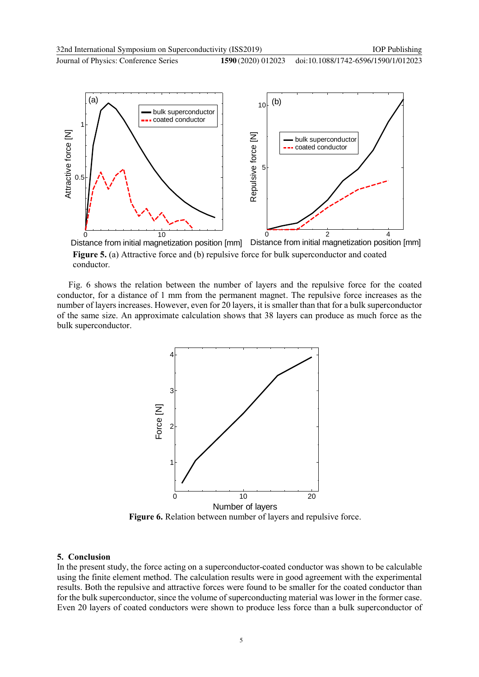Journal of Physics: Conference Series **1590** (2020) 012023



**Figure 5.** (a) Attractive force and (b) repulsive force for bulk superconductor and coated conductor. Distance from initial magnetization position [mm]

Fig. 6 shows the relation between the number of layers and the repulsive force for the coated conductor, for a distance of 1 mm from the permanent magnet. The repulsive force increases as the number of layers increases. However, even for 20 layers, it is smaller than that for a bulk superconductor of the same size. An approximate calculation shows that 38 layers can produce as much force as the bulk superconductor.



**Figure 6.** Relation between number of layers and repulsive force.

#### **5. Conclusion**

In the present study, the force acting on a superconductor-coated conductor was shown to be calculable using the finite element method. The calculation results were in good agreement with the experimental results. Both the repulsive and attractive forces were found to be smaller for the coated conductor than for the bulk superconductor, since the volume of superconducting material was lower in the former case. Even 20 layers of coated conductors were shown to produce less force than a bulk superconductor of